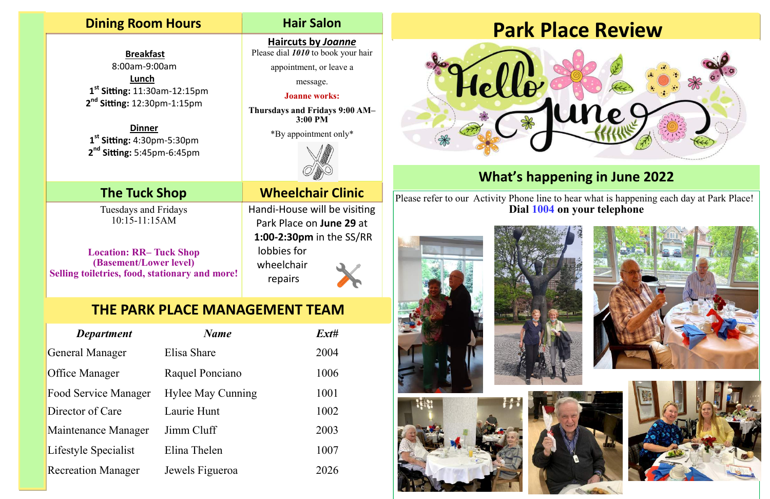## **Dining Room Hours Hair Salon**

 **Breakfast**  8:00am-9:00am **Lunch 1 st Sitting:** 11:30am-12:15pm **2 nd Sitting:** 12:30pm-1:15pm

**Haircuts by** *Joanne* Please dial **1010** to book your hair

**Dinner 1 st Sitting:** 4:30pm-5:30pm **2 nd Sitting:** 5:45pm-6:45pm

appointment, or leave a

message.

### **Joanne works:**

**Thursdays and Fridays 9:00 AM– 3:00 PM**

\*By appointment only\*



Handi-House will be visiting Park Place on **June 29** at **1:00-2:30pm** in the SS/RR lobbies for wheelchair repairs

Please refer to our Activity Phone line to hear what is happening each day at Park Place! **Dial 1004 on your telephone**









## **The Tuck Shop Wheelchair Clinic**

# **What's happening in June 2022**

## **THE PARK PLACE MANAGEMENT TEAM**

| <b>Department</b>           | <b>Name</b>              | $Ext\#$ |
|-----------------------------|--------------------------|---------|
| General Manager             | Elisa Share              | 2004    |
| <b>Office Manager</b>       | Raquel Ponciano          | 1006    |
| <b>Food Service Manager</b> | <b>Hylee May Cunning</b> | 1001    |
| Director of Care            | Laurie Hunt              | 1002    |
| Maintenance Manager         | Jimm Cluff               | 2003    |
| Lifestyle Specialist        | Elina Thelen             | 1007    |
| <b>Recreation Manager</b>   | Jewels Figueroa          | 2026    |

# **Park Place Review**



Tuesdays and Fridays 10:15-11:15AM

**Location: RR– Tuck Shop (Basement/Lower level) Selling toiletries, food, stationary and more!**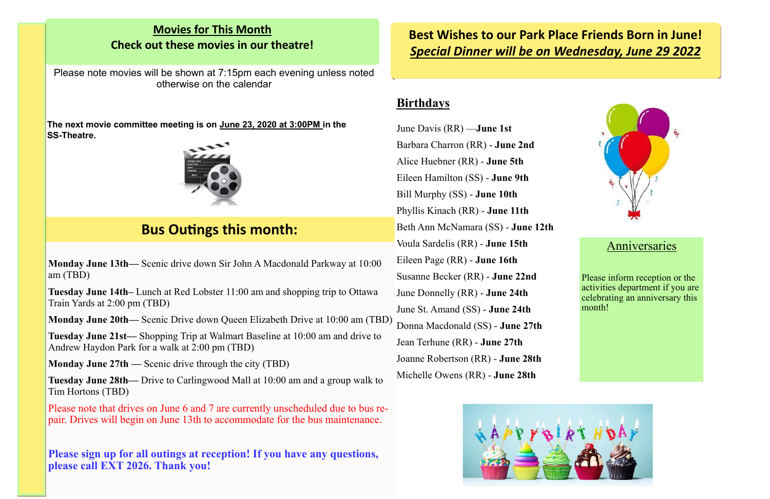## **Best Wishes to our Park Place Friends Born in June!**  *Special Dinner will be on Wednesday, June 29 2022*

### **Movies for This Month Check out these movies in our theatre!**

Please note movies will be shown at 7:15pm each evening unless noted otherwise on the calendar

**The next movie committee meeting is on June 23, 2020 at 3:00PM in the SS-Theatre.** 



**Monday June 13th—** Scenic drive down Sir John A Macdonald Parkway at 10:00 am (TBD)

**Tuesday June 14th–** Lunch at Red Lobster 11:00 am and shopping trip to Ottawa Train Yards at 2:00 pm (TBD)

**Monday June 20th—** Scenic Drive down Queen Elizabeth Drive at 10:00 am (TBD)

**Tuesday June 21st—** Shopping Trip at Walmart Baseline at 10:00 am and drive to Andrew Haydon Park for a walk at 2:00 pm (TBD)

**Monday June 27th —** Scenic drive through the city (TBD)

**Tuesday June 28th—** Drive to Carlingwood Mall at 10:00 am and a group walk to Tim Hortons (TBD)

Please note that drives on June 6 and 7 are currently unscheduled due to bus repair. Drives will begin on June 13th to accommodate for the bus maintenance.

**Please sign up for all outings at reception! If you have any questions, please call EXT 2026. Thank you!**

## **Bus Outings this month:**

### **Birthdays**

June Davis (RR) —**June 1st** Barbara Charron (RR) - **June 2nd** Alice Huebner (RR) - **June 5th**  Eileen Hamilton (SS) - **June 9th**  Bill Murphy (SS) - **June 10th**  Phyllis Kinach (RR) - **June 11th**  Beth Ann McNamara (SS) - **June 12th**  Voula Sardelis (RR) - **June 15th**  Eileen Page (RR) - **June 16th** Susanne Becker (RR) - **June 22nd** June Donnelly (RR) - **June 24th** June St. Amand (SS) - **June 24th**  Donna Macdonald (SS) - **June 27th**  Jean Terhune (RR) - **June 27th**  Joanne Robertson (RR) - **June 28th**  Michelle Owens (RR) - **June 28th** 





### **Anniversaries**

Please inform reception or the activities department if you are celebrating an anniversary this month!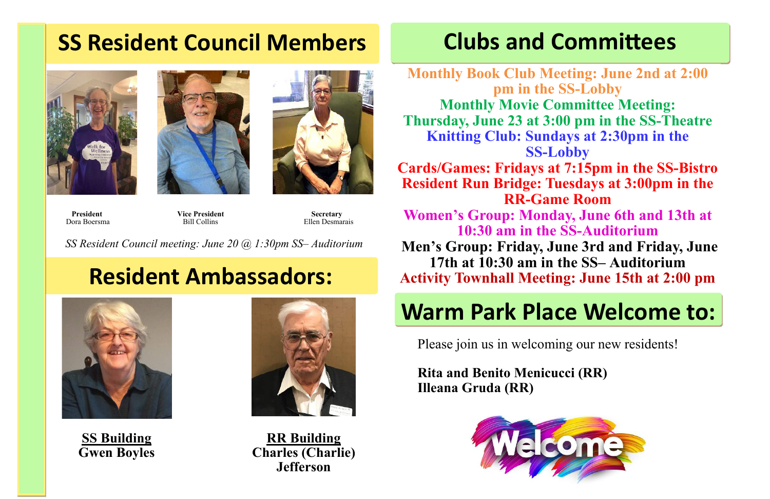# **SS Resident Council Members Clubs and Committees**





**President Secretary** Vice President Secretary **Dora Boersma** Bill Collins **Bill Collins** Ellen Desmarais

*SS Resident Council meeting: June 20 @ 1:30pm SS– Auditorium*

# **Resident Ambassadors:**

**Monthly Book Club Meeting: June 2nd at 2:00 pm in the SS-Lobby Monthly Movie Committee Meeting: Thursday, June 23 at 3:00 pm in the SS-Theatre Knitting Club: Sundays at 2:30pm in the SS-Lobby Cards/Games: Fridays at 7:15pm in the SS-Bistro Resident Run Bridge: Tuesdays at 3:00pm in the RR-Game Room Women's Group: Monday, June 6th and 13th at 10:30 am in the SS-Auditorium Men's Group: Friday, June 3rd and Friday, June 17th at 10:30 am in the SS– Auditorium Activity Townhall Meeting: June 15th at 2:00 pm**

# **Warm Park Place Welcome to:**

Please join us in welcoming our new residents!

**Rita and Benito Menicucci (RR) Illeana Gruda (RR)**





**SS Building Gwen Boyles**



**RR Building Charles (Charlie) Jefferson**